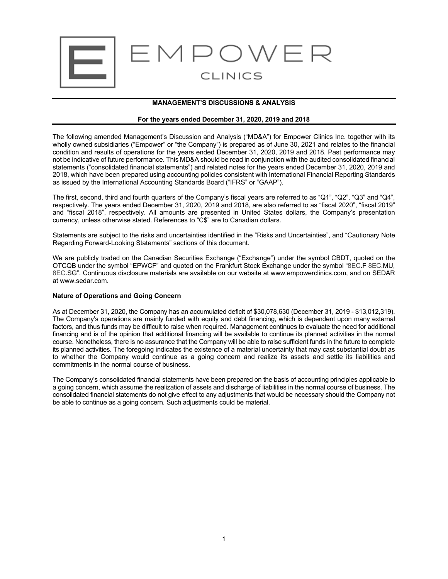

# **MANAGEMENT'S DISCUSSIONS & ANALYSIS**

## **For the years ended December 31, 2020, 2019 and 2018**

The following amended Management's Discussion and Analysis ("MD&A") for Empower Clinics Inc. together with its wholly owned subsidiaries ("Empower" or "the Company") is prepared as of June 30, 2021 and relates to the financial condition and results of operations for the years ended December 31, 2020, 2019 and 2018. Past performance may not be indicative of future performance. This MD&A should be read in conjunction with the audited consolidated financial statements ("consolidated financial statements") and related notes for the years ended December 31, 2020, 2019 and 2018, which have been prepared using accounting policies consistent with International Financial Reporting Standards as issued by the International Accounting Standards Board ("IFRS" or "GAAP").

The first, second, third and fourth quarters of the Company's fiscal years are referred to as "Q1", "Q2", "Q3" and "Q4", respectively. The years ended December 31, 2020, 2019 and 2018, are also referred to as "fiscal 2020", "fiscal 2019" and "fiscal 2018", respectively. All amounts are presented in United States dollars, the Company's presentation currency, unless otherwise stated. References to "C\$" are to Canadian dollars.

Statements are subject to the risks and uncertainties identified in the "Risks and Uncertainties", and "Cautionary Note Regarding Forward-Looking Statements" sections of this document.

We are publicly traded on the Canadian Securities Exchange ("Exchange") under the symbol CBDT, quoted on the OTCQB under the symbol "EPWCF" and quoted on the Frankfurt Stock Exchange under the symbol "8EC.F 8EC.MU, 8EC.SG". Continuous disclosure materials are available on our website at www.empowerclinics.com, and on SEDAR at www.sedar.com.

# **Nature of Operations and Going Concern**

As at December 31, 2020, the Company has an accumulated deficit of \$30,078,630 (December 31, 2019 - \$13,012,319). The Company's operations are mainly funded with equity and debt financing, which is dependent upon many external factors, and thus funds may be difficult to raise when required. Management continues to evaluate the need for additional financing and is of the opinion that additional financing will be available to continue its planned activities in the normal course. Nonetheless, there is no assurance that the Company will be able to raise sufficient funds in the future to complete its planned activities. The foregoing indicates the existence of a material uncertainty that may cast substantial doubt as to whether the Company would continue as a going concern and realize its assets and settle its liabilities and commitments in the normal course of business.

The Company's consolidated financial statements have been prepared on the basis of accounting principles applicable to a going concern, which assume the realization of assets and discharge of liabilities in the normal course of business. The consolidated financial statements do not give effect to any adjustments that would be necessary should the Company not be able to continue as a going concern. Such adjustments could be material.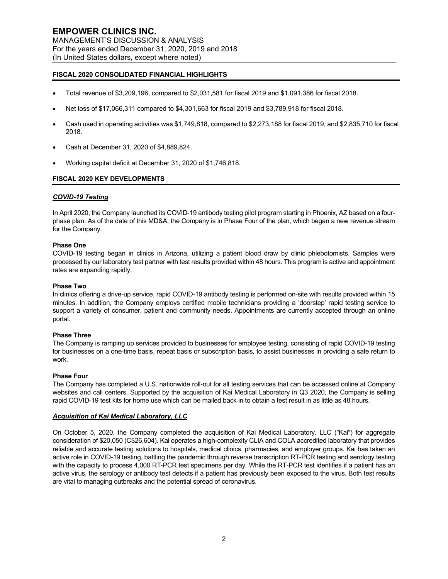# **FISCAL 2020 CONSOLIDATED FINANCIAL HIGHLIGHTS**

- Total revenue of \$3,209,196, compared to \$2,031,581 for fiscal 2019 and \$1,091,386 for fiscal 2018.
- Net loss of \$17,066,311 compared to \$4,301,663 for fiscal 2019 and \$3,789,918 for fiscal 2018.
- Cash used in operating activities was \$1,749,818, compared to \$2,273,188 for fiscal 2019, and \$2,835,710 for fiscal 2018.
- Cash at December 31, 2020 of \$4,889,824.
- Working capital deficit at December 31, 2020 of \$1,746,818.

## **FISCAL 2020 KEY DEVELOPMENTS**

## *COVID-19 Testing*

In April 2020, the Company launched its COVID-19 antibody testing pilot program starting in Phoenix, AZ based on a fourphase plan. As of the date of this MD&A, the Company is in Phase Four of the plan, which began a new revenue stream for the Company.

#### **Phase One**

COVID-19 testing began in clinics in Arizona, utilizing a patient blood draw by clinic phlebotomists. Samples were processed by our laboratory test partner with test results provided within 48 hours. This program is active and appointment rates are expanding rapidly.

#### **Phase Two**

In clinics offering a drive-up service, rapid COVID-19 antibody testing is performed on-site with results provided within 15 minutes. In addition, the Company employs certified mobile technicians providing a 'doorstep' rapid testing service to support a variety of consumer, patient and community needs. Appointments are currently accepted through an online portal.

#### **Phase Three**

The Company is ramping up services provided to businesses for employee testing, consisting of rapid COVID-19 testing for businesses on a one-time basis, repeat basis or subscription basis, to assist businesses in providing a safe return to work.

#### **Phase Four**

The Company has completed a U.S. nationwide roll-out for all testing services that can be accessed online at Company websites and call centers. Supported by the acquisition of Kai Medical Laboratory in Q3 2020, the Company is selling rapid COVID-19 test kits for home use which can be mailed back in to obtain a test result in as little as 48 hours.

#### *Acquisition of Kai Medical Laboratory, LLC*

On October 5, 2020, the Company completed the acquisition of Kai Medical Laboratory, LLC ("Kai") for aggregate consideration of \$20,050 (C\$26,604). Kai operates a high-complexity CLIA and COLA accredited laboratory that provides reliable and accurate testing solutions to hospitals, medical clinics, pharmacies, and employer groups. Kai has taken an active role in COVID-19 testing, battling the pandemic through reverse transcription RT-PCR testing and serology testing with the capacity to process 4,000 RT-PCR test specimens per day. While the RT-PCR test identifies if a patient has an active virus, the serology or antibody test detects if a patient has previously been exposed to the virus. Both test results are vital to managing outbreaks and the potential spread of coronavirus.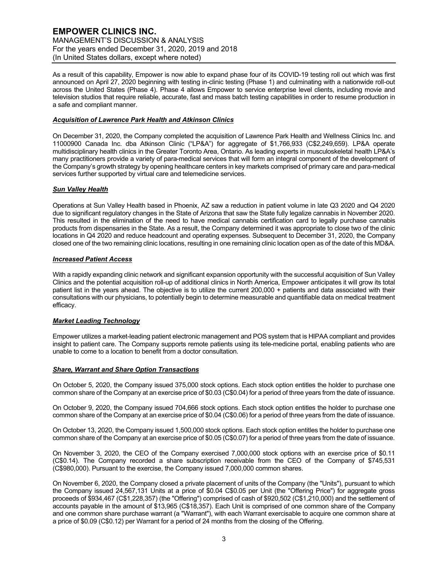As a result of this capability, Empower is now able to expand phase four of its COVID-19 testing roll out which was first announced on April 27, 2020 beginning with testing in-clinic testing (Phase 1) and culminating with a nationwide roll-out across the United States (Phase 4). Phase 4 allows Empower to service enterprise level clients, including movie and television studios that require reliable, accurate, fast and mass batch testing capabilities in order to resume production in a safe and compliant manner.

# *Acquisition of Lawrence Park Health and Atkinson Clinics*

On December 31, 2020, the Company completed the acquisition of Lawrence Park Health and Wellness Clinics Inc. and 11000900 Canada Inc. dba Atkinson Clinic ("LP&A") for aggregate of \$1,766,933 (C\$2,249,659). LP&A operate multidisciplinary health clinics in the Greater Toronto Area, Ontario. As leading experts in musculoskeletal health LP&A's many practitioners provide a variety of para-medical services that will form an integral component of the development of the Company's growth strategy by opening healthcare centers in key markets comprised of primary care and para-medical services further supported by virtual care and telemedicine services.

# *Sun Valley Health*

Operations at Sun Valley Health based in Phoenix, AZ saw a reduction in patient volume in late Q3 2020 and Q4 2020 due to significant regulatory changes in the State of Arizona that saw the State fully legalize cannabis in November 2020. This resulted in the elimination of the need to have medical cannabis certification card to legally purchase cannabis products from dispensaries in the State. As a result, the Company determined it was appropriate to close two of the clinic locations in Q4 2020 and reduce headcount and operating expenses. Subsequent to December 31, 2020, the Company closed one of the two remaining clinic locations, resulting in one remaining clinic location open as of the date of this MD&A.

# *Increased Patient Access*

With a rapidly expanding clinic network and significant expansion opportunity with the successful acquisition of Sun Valley Clinics and the potential acquisition roll-up of additional clinics in North America, Empower anticipates it will grow its total patient list in the years ahead. The objective is to utilize the current 200,000 + patients and data associated with their consultations with our physicians, to potentially begin to determine measurable and quantifiable data on medical treatment efficacy.

# *Market Leading Technology*

Empower utilizes a market-leading patient electronic management and POS system that is HIPAA compliant and provides insight to patient care. The Company supports remote patients using its tele-medicine portal, enabling patients who are unable to come to a location to benefit from a doctor consultation.

# *Share, Warrant and Share Option Transactions*

On October 5, 2020, the Company issued 375,000 stock options. Each stock option entitles the holder to purchase one common share of the Company at an exercise price of \$0.03 (C\$0.04) for a period of three years from the date of issuance.

On October 9, 2020, the Company issued 704,666 stock options. Each stock option entitles the holder to purchase one common share of the Company at an exercise price of \$0.04 (C\$0.06) for a period of three years from the date of issuance.

On October 13, 2020, the Company issued 1,500,000 stock options. Each stock option entitles the holder to purchase one common share of the Company at an exercise price of \$0.05 (C\$0.07) for a period of three years from the date of issuance.

On November 3, 2020, the CEO of the Company exercised 7,000,000 stock options with an exercise price of \$0.11 (C\$0.14). The Company recorded a share subscription receivable from the CEO of the Company of \$745,531 (C\$980,000). Pursuant to the exercise, the Company issued 7,000,000 common shares.

On November 6, 2020, the Company closed a private placement of units of the Company (the "Units"), pursuant to which the Company issued 24,567,131 Units at a price of \$0.04 C\$0.05 per Unit (the "Offering Price") for aggregate gross proceeds of \$934,467 (C\$1,228,357) (the "Offering") comprised of cash of \$920,502 (C\$1,210,000) and the settlement of accounts payable in the amount of \$13,965 (C\$18,357). Each Unit is comprised of one common share of the Company and one common share purchase warrant (a "Warrant"), with each Warrant exercisable to acquire one common share at a price of \$0.09 (C\$0.12) per Warrant for a period of 24 months from the closing of the Offering.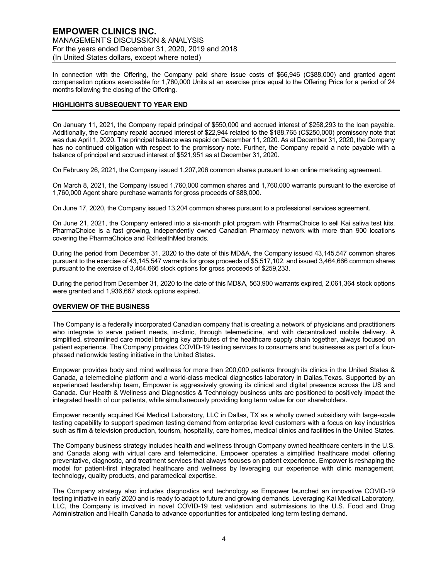In connection with the Offering, the Company paid share issue costs of \$66,946 (C\$88,000) and granted agent compensation options exercisable for 1,760,000 Units at an exercise price equal to the Offering Price for a period of 24 months following the closing of the Offering.

# **HIGHLIGHTS SUBSEQUENT TO YEAR END**

On January 11, 2021, the Company repaid principal of \$550,000 and accrued interest of \$258,293 to the loan payable. Additionally, the Company repaid accrued interest of \$22,944 related to the \$188,765 (C\$250,000) promissory note that was due April 1, 2020. The principal balance was repaid on December 11, 2020. As at December 31, 2020, the Company has no continued obligation with respect to the promissory note. Further, the Company repaid a note payable with a balance of principal and accrued interest of \$521,951 as at December 31, 2020.

On February 26, 2021, the Company issued 1,207,206 common shares pursuant to an online marketing agreement.

On March 8, 2021, the Company issued 1,760,000 common shares and 1,760,000 warrants pursuant to the exercise of 1,760,000 Agent share purchase warrants for gross proceeds of \$88,000.

On June 17, 2020, the Company issued 13,204 common shares pursuant to a professional services agreement.

On June 21, 2021, the Company entered into a six-month pilot program with PharmaChoice to sell Kai saliva test kits. PharmaChoice is a fast growing, independently owned Canadian Pharmacy network with more than 900 locations covering the PharmaChoice and RxHealthMed brands.

During the period from December 31, 2020 to the date of this MD&A, the Company issued 43,145,547 common shares pursuant to the exercise of 43,145,547 warrants for gross proceeds of \$5,517,102, and issued 3,464,666 common shares pursuant to the exercise of 3,464,666 stock options for gross proceeds of \$259,233.

During the period from December 31, 2020 to the date of this MD&A, 563,900 warrants expired, 2,061,364 stock options were granted and 1,936,667 stock options expired.

# **OVERVIEW OF THE BUSINESS**

The Company is a federally incorporated Canadian company that is creating a network of physicians and practitioners who integrate to serve patient needs, in-clinic, through telemedicine, and with decentralized mobile delivery. A simplified, streamlined care model bringing key attributes of the healthcare supply chain together, always focused on patient experience. The Company provides COVID-19 testing services to consumers and businesses as part of a fourphased nationwide testing initiative in the United States.

Empower provides body and mind wellness for more than 200,000 patients through its clinics in the United States & Canada, a telemedicine platform and a world-class medical diagnostics laboratory in Dallas,Texas. Supported by an experienced leadership team, Empower is aggressively growing its clinical and digital presence across the US and Canada. Our Health & Wellness and Diagnostics & Technology business units are positioned to positively impact the integrated health of our patients, while simultaneously providing long term value for our shareholders.

Empower recently acquired Kai Medical Laboratory, LLC in Dallas, TX as a wholly owned subsidiary with large-scale testing capability to support specimen testing demand from enterprise level customers with a focus on key industries such as film & television production, tourism, hospitality, care homes, medical clinics and facilities in the United States.

The Company business strategy includes health and wellness through Company owned healthcare centers in the U.S. and Canada along with virtual care and telemedicine. Empower operates a simplified healthcare model offering preventative, diagnostic, and treatment services that always focuses on patient experience. Empower is reshaping the model for patient-first integrated healthcare and wellness by leveraging our experience with clinic management, technology, quality products, and paramedical expertise.

The Company strategy also includes diagnostics and technology as Empower launched an innovative COVID-19 testing initiative in early 2020 and is ready to adapt to future and growing demands. Leveraging Kai Medical Laboratory, LLC, the Company is involved in novel COVID-19 test validation and submissions to the U.S. Food and Drug Administration and Health Canada to advance opportunities for anticipated long term testing demand.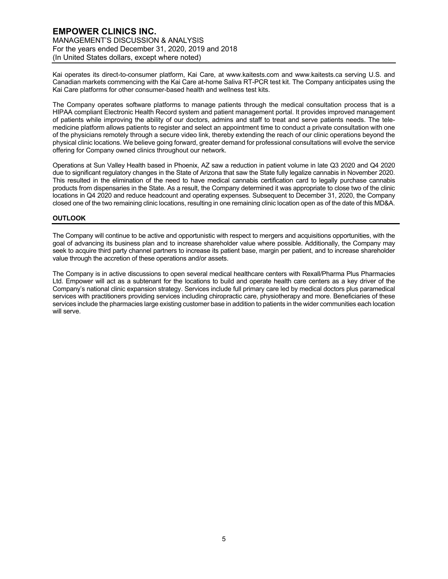Kai operates its direct-to-consumer platform, Kai Care, at www.kaitests.com and www.kaitests.ca serving U.S. and Canadian markets commencing with the Kai Care at-home Saliva RT-PCR test kit. The Company anticipates using the Kai Care platforms for other consumer-based health and wellness test kits.

The Company operates software platforms to manage patients through the medical consultation process that is a HIPAA compliant Electronic Health Record system and patient management portal. It provides improved management of patients while improving the ability of our doctors, admins and staff to treat and serve patients needs. The telemedicine platform allows patients to register and select an appointment time to conduct a private consultation with one of the physicians remotely through a secure video link, thereby extending the reach of our clinic operations beyond the physical clinic locations. We believe going forward, greater demand for professional consultations will evolve the service offering for Company owned clinics throughout our network.

Operations at Sun Valley Health based in Phoenix, AZ saw a reduction in patient volume in late Q3 2020 and Q4 2020 due to significant regulatory changes in the State of Arizona that saw the State fully legalize cannabis in November 2020. This resulted in the elimination of the need to have medical cannabis certification card to legally purchase cannabis products from dispensaries in the State. As a result, the Company determined it was appropriate to close two of the clinic locations in Q4 2020 and reduce headcount and operating expenses. Subsequent to December 31, 2020, the Company closed one of the two remaining clinic locations, resulting in one remaining clinic location open as of the date of this MD&A.

# **OUTLOOK**

The Company will continue to be active and opportunistic with respect to mergers and acquisitions opportunities, with the goal of advancing its business plan and to increase shareholder value where possible. Additionally, the Company may seek to acquire third party channel partners to increase its patient base, margin per patient, and to increase shareholder value through the accretion of these operations and/or assets.

The Company is in active discussions to open several medical healthcare centers with Rexall/Pharma Plus Pharmacies Ltd. Empower will act as a subtenant for the locations to build and operate health care centers as a key driver of the Company's national clinic expansion strategy. Services include full primary care led by medical doctors plus paramedical services with practitioners providing services including chiropractic care, physiotherapy and more. Beneficiaries of these services include the pharmacies large existing customer base in addition to patients in the wider communities each location will serve.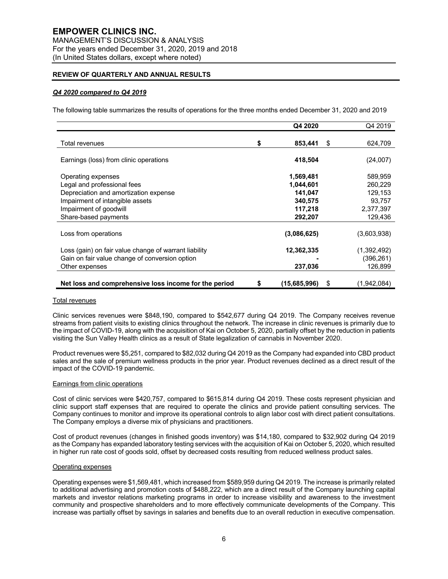# **REVIEW OF QUARTERLY AND ANNUAL RESULTS**

# *Q4 2020 compared to Q4 2019*

The following table summarizes the results of operations for the three months ended December 31, 2020 and 2019

|                                                                          | Q4 2020              | Q4 2019            |
|--------------------------------------------------------------------------|----------------------|--------------------|
| Total revenues                                                           | \$<br>853,441        | \$<br>624,709      |
| Earnings (loss) from clinic operations                                   | 418,504              | (24,007)           |
| Operating expenses                                                       | 1,569,481            | 589,959            |
| Legal and professional fees                                              | 1,044,601<br>141,047 | 260,229<br>129,153 |
| Depreciation and amortization expense<br>Impairment of intangible assets | 340,575              | 93,757             |
| Impairment of goodwill                                                   | 117,218              | 2,377,397          |
| Share-based payments                                                     | 292,207              | 129,436            |
| Loss from operations                                                     | (3,086,625)          | (3,603,938)        |
| Loss (gain) on fair value change of warrant liability                    | 12,362,335           | (1,392,492)        |
| Gain on fair value change of conversion option                           |                      | (396,261)          |
| Other expenses                                                           | 237,036              | 126,899            |
| Net loss and comprehensive loss income for the period                    | \$<br>(15,685,996)   | \$<br>(1,942,084)  |

#### Total revenues

Clinic services revenues were \$848,190, compared to \$542,677 during Q4 2019. The Company receives revenue streams from patient visits to existing clinics throughout the network. The increase in clinic revenues is primarily due to the impact of COVID-19, along with the acquisition of Kai on October 5, 2020, partially offset by the reduction in patients visiting the Sun Valley Health clinics as a result of State legalization of cannabis in November 2020.

Product revenues were \$5,251, compared to \$82,032 during Q4 2019 as the Company had expanded into CBD product sales and the sale of premium wellness products in the prior year. Product revenues declined as a direct result of the impact of the COVID-19 pandemic.

#### Earnings from clinic operations

Cost of clinic services were \$420,757, compared to \$615,814 during Q4 2019. These costs represent physician and clinic support staff expenses that are required to operate the clinics and provide patient consulting services. The Company continues to monitor and improve its operational controls to align labor cost with direct patient consultations. The Company employs a diverse mix of physicians and practitioners.

Cost of product revenues (changes in finished goods inventory) was \$14,180, compared to \$32,902 during Q4 2019 as the Company has expanded laboratory testing services with the acquisition of Kai on October 5, 2020, which resulted in higher run rate cost of goods sold, offset by decreased costs resulting from reduced wellness product sales.

#### Operating expenses

Operating expenses were \$1,569,481, which increased from \$589,959 during Q4 2019. The increase is primarily related to additional advertising and promotion costs of \$488,222, which are a direct result of the Company launching capital markets and investor relations marketing programs in order to increase visibility and awareness to the investment community and prospective shareholders and to more effectively communicate developments of the Company. This increase was partially offset by savings in salaries and benefits due to an overall reduction in executive compensation.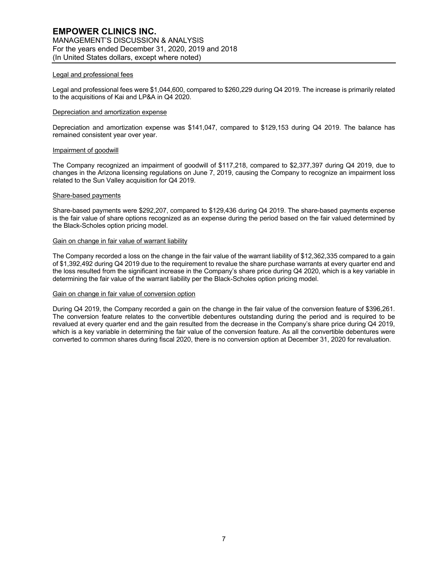## Legal and professional fees

Legal and professional fees were \$1,044,600, compared to \$260,229 during Q4 2019. The increase is primarily related to the acquisitions of Kai and LP&A in Q4 2020.

# Depreciation and amortization expense

Depreciation and amortization expense was \$141,047, compared to \$129,153 during Q4 2019. The balance has remained consistent year over year.

#### Impairment of goodwill

The Company recognized an impairment of goodwill of \$117,218, compared to \$2,377,397 during Q4 2019, due to changes in the Arizona licensing regulations on June 7, 2019, causing the Company to recognize an impairment loss related to the Sun Valley acquisition for Q4 2019.

#### Share-based payments

Share-based payments were \$292,207, compared to \$129,436 during Q4 2019. The share-based payments expense is the fair value of share options recognized as an expense during the period based on the fair valued determined by the Black-Scholes option pricing model.

## Gain on change in fair value of warrant liability

The Company recorded a loss on the change in the fair value of the warrant liability of \$12,362,335 compared to a gain of \$1,392,492 during Q4 2019 due to the requirement to revalue the share purchase warrants at every quarter end and the loss resulted from the significant increase in the Company's share price during Q4 2020, which is a key variable in determining the fair value of the warrant liability per the Black-Scholes option pricing model.

# Gain on change in fair value of conversion option

During Q4 2019, the Company recorded a gain on the change in the fair value of the conversion feature of \$396,261. The conversion feature relates to the convertible debentures outstanding during the period and is required to be revalued at every quarter end and the gain resulted from the decrease in the Company's share price during Q4 2019, which is a key variable in determining the fair value of the conversion feature. As all the convertible debentures were converted to common shares during fiscal 2020, there is no conversion option at December 31, 2020 for revaluation.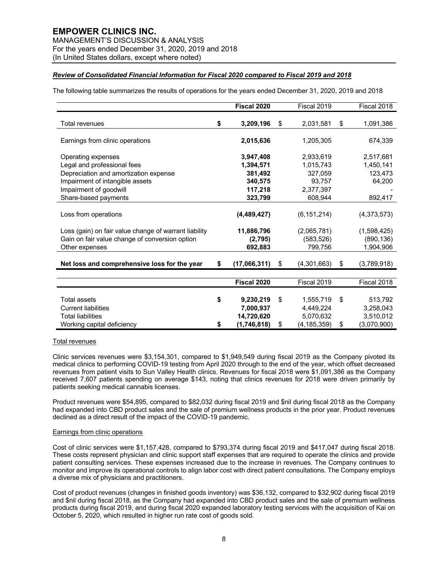MANAGEMENT'S DISCUSSION & ANALYSIS For the years ended December 31, 2020, 2019 and 2018 (In United States dollars, except where noted)

# *Review of Consolidated Financial Information for Fiscal 2020 compared to Fiscal 2019 and 2018*

The following table summarizes the results of operations for the years ended December 31, 2020, 2019 and 2018

|                                                       | Fiscal 2020        | Fiscal 2019         | Fiscal 2018       |
|-------------------------------------------------------|--------------------|---------------------|-------------------|
| <b>Total revenues</b>                                 | \$<br>3,209,196    | \$<br>2,031,581     | \$<br>1,091,386   |
|                                                       |                    |                     |                   |
| Earnings from clinic operations                       | 2,015,636          | 1,205,305           | 674,339           |
| Operating expenses                                    | 3,947,408          | 2,933,619           | 2,517,681         |
| Legal and professional fees                           | 1,394,571          | 1,015,743           | 1,450,141         |
| Depreciation and amortization expense                 | 381,492            | 327,059             | 123,473           |
| Impairment of intangible assets                       | 340,575            | 93,757              | 64,200            |
| Impairment of goodwill                                | 117,218            | 2,377,397           |                   |
| Share-based payments                                  | 323,799            | 608,944             | 892,417           |
| Loss from operations                                  | (4, 489, 427)      | (6, 151, 214)       | (4,373,573)       |
| Loss (gain) on fair value change of warrant liability | 11,886,796         | (2,065,781)         | (1,598,425)       |
| Gain on fair value change of conversion option        | (2,795)            | (583, 526)          | (890, 136)        |
| Other expenses                                        | 692,883            | 799,756             | 1,904,906         |
|                                                       |                    |                     |                   |
| Net loss and comprehensive loss for the year          | \$<br>(17,066,311) | \$<br>(4,301,663)   | \$<br>(3,789,918) |
|                                                       |                    |                     |                   |
|                                                       | Fiscal 2020        | Fiscal 2019         | Fiscal 2018       |
|                                                       |                    |                     |                   |
| <b>Total assets</b>                                   | \$<br>9,230,219    | \$<br>1,555,719     | \$<br>513,792     |
| <b>Current liabilities</b>                            | 7,000,937          | 4,449,224           | 3,258,043         |
| <b>Total liabilities</b>                              | 14,720,620         | 5,070,632           | 3,510,012         |
| Working capital deficiency                            | \$<br>(1,746,818)  | \$<br>(4, 185, 359) | \$<br>(3,070,900) |

# Total revenues

Clinic services revenues were \$3,154,301, compared to \$1,949,549 during fiscal 2019 as the Company pivoted its medical clinics to performing COVID-19 testing from April 2020 through to the end of the year, which offset decreased revenues from patient visits to Sun Valley Health clinics. Revenues for fiscal 2018 were \$1,091,386 as the Company received 7,607 patients spending on average \$143, noting that clinics revenues for 2018 were driven primarily by patients seeking medical cannabis licenses.

Product revenues were \$54,895, compared to \$82,032 during fiscal 2019 and \$nil during fiscal 2018 as the Company had expanded into CBD product sales and the sale of premium wellness products in the prior year. Product revenues declined as a direct result of the impact of the COVID-19 pandemic.

### Earnings from clinic operations

Cost of clinic services were \$1,157,428, compared to \$793,374 during fiscal 2019 and \$417,047 during fiscal 2018. These costs represent physician and clinic support staff expenses that are required to operate the clinics and provide patient consulting services. These expenses increased due to the increase in revenues. The Company continues to monitor and improve its operational controls to align labor cost with direct patient consultations. The Company employs a diverse mix of physicians and practitioners.

Cost of product revenues (changes in finished goods inventory) was \$36,132, compared to \$32,902 during fiscal 2019 and \$nil during fiscal 2018, as the Company had expanded into CBD product sales and the sale of premium wellness products during fiscal 2019, and during fiscal 2020 expanded laboratory testing services with the acquisition of Kai on October 5, 2020, which resulted in higher run rate cost of goods sold.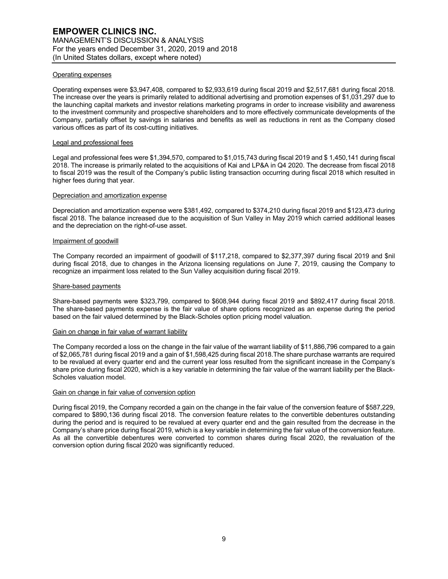## Operating expenses

Operating expenses were \$3,947,408, compared to \$2,933,619 during fiscal 2019 and \$2,517,681 during fiscal 2018. The increase over the years is primarily related to additional advertising and promotion expenses of \$1,031,297 due to the launching capital markets and investor relations marketing programs in order to increase visibility and awareness to the investment community and prospective shareholders and to more effectively communicate developments of the Company, partially offset by savings in salaries and benefits as well as reductions in rent as the Company closed various offices as part of its cost-cutting initiatives.

### Legal and professional fees

Legal and professional fees were \$1,394,570, compared to \$1,015,743 during fiscal 2019 and \$ 1,450,141 during fiscal 2018. The increase is primarily related to the acquisitions of Kai and LP&A in Q4 2020. The decrease from fiscal 2018 to fiscal 2019 was the result of the Company's public listing transaction occurring during fiscal 2018 which resulted in higher fees during that year.

#### Depreciation and amortization expense

Depreciation and amortization expense were \$381,492, compared to \$374,210 during fiscal 2019 and \$123,473 during fiscal 2018. The balance increased due to the acquisition of Sun Valley in May 2019 which carried additional leases and the depreciation on the right-of-use asset.

## Impairment of goodwill

The Company recorded an impairment of goodwill of \$117,218, compared to \$2,377,397 during fiscal 2019 and \$nil during fiscal 2018, due to changes in the Arizona licensing regulations on June 7, 2019, causing the Company to recognize an impairment loss related to the Sun Valley acquisition during fiscal 2019.

## Share-based payments

Share-based payments were \$323,799, compared to \$608,944 during fiscal 2019 and \$892,417 during fiscal 2018. The share-based payments expense is the fair value of share options recognized as an expense during the period based on the fair valued determined by the Black-Scholes option pricing model valuation.

#### Gain on change in fair value of warrant liability

The Company recorded a loss on the change in the fair value of the warrant liability of \$11,886,796 compared to a gain of \$2,065,781 during fiscal 2019 and a gain of \$1,598,425 during fiscal 2018.The share purchase warrants are required to be revalued at every quarter end and the current year loss resulted from the significant increase in the Company's share price during fiscal 2020, which is a key variable in determining the fair value of the warrant liability per the Black-Scholes valuation model.

#### Gain on change in fair value of conversion option

During fiscal 2019, the Company recorded a gain on the change in the fair value of the conversion feature of \$587,229, compared to \$890,136 during fiscal 2018. The conversion feature relates to the convertible debentures outstanding during the period and is required to be revalued at every quarter end and the gain resulted from the decrease in the Company's share price during fiscal 2019, which is a key variable in determining the fair value of the conversion feature. As all the convertible debentures were converted to common shares during fiscal 2020, the revaluation of the conversion option during fiscal 2020 was significantly reduced.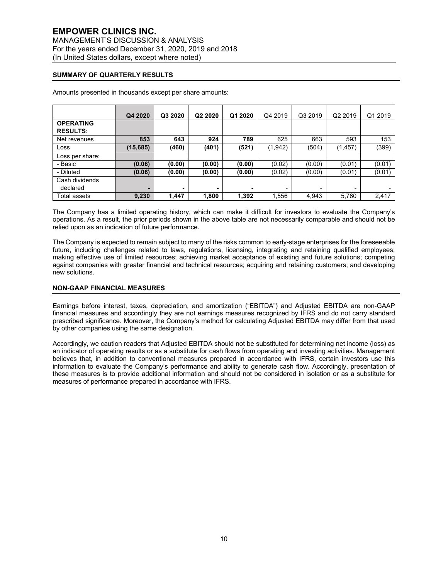# **SUMMARY OF QUARTERLY RESULTS**

|                  | Q4 2020   | Q3 2020 | Q2 2020 | Q1 2020 | Q4 2019  | Q3 2019 | Q2 2019  | Q1 2019 |
|------------------|-----------|---------|---------|---------|----------|---------|----------|---------|
| <b>OPERATING</b> |           |         |         |         |          |         |          |         |
| <b>RESULTS:</b>  |           |         |         |         |          |         |          |         |
| Net revenues     | 853       | 643     | 924     | 789     | 625      | 663     | 593      | 153     |
| Loss             | (15, 685) | (460)   | (401)   | (521)   | (1, 942) | (504)   | (1, 457) | (399)   |
| Loss per share:  |           |         |         |         |          |         |          |         |
| - Basic          | (0.06)    | (0.00)  | (0.00)  | (0.00)  | (0.02)   | (0.00)  | (0.01)   | (0.01)  |
| - Diluted        | (0.06)    | (0.00)  | (0.00)  | (0.00)  | (0.02)   | (0.00)  | (0.01)   | (0.01)  |
| Cash dividends   |           |         |         |         |          |         |          |         |
| declared         |           | ۰       |         |         |          |         |          |         |
| Total assets     | 9,230     | 1,447   | 1,800   | 1,392   | 1,556    | 4,943   | 5,760    | 2,417   |

Amounts presented in thousands except per share amounts:

The Company has a limited operating history, which can make it difficult for investors to evaluate the Company's operations. As a result, the prior periods shown in the above table are not necessarily comparable and should not be relied upon as an indication of future performance.

The Company is expected to remain subject to many of the risks common to early-stage enterprises for the foreseeable future, including challenges related to laws, regulations, licensing, integrating and retaining qualified employees; making effective use of limited resources; achieving market acceptance of existing and future solutions; competing against companies with greater financial and technical resources; acquiring and retaining customers; and developing new solutions.

## **NON-GAAP FINANCIAL MEASURES**

Earnings before interest, taxes, depreciation, and amortization ("EBITDA") and Adjusted EBITDA are non-GAAP financial measures and accordingly they are not earnings measures recognized by IFRS and do not carry standard prescribed significance. Moreover, the Company's method for calculating Adjusted EBITDA may differ from that used by other companies using the same designation.

Accordingly, we caution readers that Adjusted EBITDA should not be substituted for determining net income (loss) as an indicator of operating results or as a substitute for cash flows from operating and investing activities. Management believes that, in addition to conventional measures prepared in accordance with IFRS, certain investors use this information to evaluate the Company's performance and ability to generate cash flow. Accordingly, presentation of these measures is to provide additional information and should not be considered in isolation or as a substitute for measures of performance prepared in accordance with IFRS.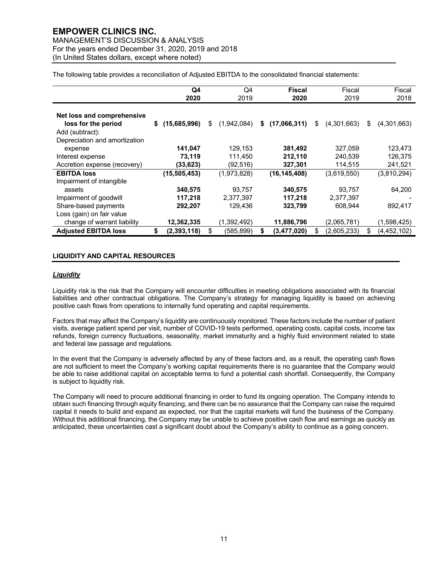MANAGEMENT'S DISCUSSION & ANALYSIS For the years ended December 31, 2020, 2019 and 2018 (In United States dollars, except where noted)

The following table provides a reconciliation of Adjusted EBITDA to the consolidated financial statements:

|                                                                      | Q4                 | Q4                |    | <b>Fiscal</b>  | Fiscal            |    | Fiscal        |
|----------------------------------------------------------------------|--------------------|-------------------|----|----------------|-------------------|----|---------------|
|                                                                      | 2020               | 2019              |    | 2020           | 2019              |    | 2018          |
| Net loss and comprehensive<br>loss for the period<br>Add (subtract): | (15,685,996)<br>\$ | \$<br>(1,942,084) | \$ | (17,066,311)   | \$<br>(4,301,663) | \$ | (4,301,663)   |
| Depreciation and amortization                                        |                    |                   |    |                |                   |    |               |
| expense                                                              | 141,047            | 129.153           |    | 381,492        | 327.059           |    | 123,473       |
| Interest expense                                                     | 73,119             | 111,450           |    | 212,110        | 240.539           |    | 126,375       |
| Accretion expense (recovery)                                         | (33,623)           | (92, 516)         |    | 327,301        | 114,515           |    | 241,521       |
| <b>EBITDA loss</b>                                                   | (15, 505, 453)     | (1,973,828)       |    | (16, 145, 408) | (3,619,550)       |    | (3,810,294)   |
| Impairment of intangible                                             |                    |                   |    |                |                   |    |               |
| assets                                                               | 340,575            | 93.757            |    | 340,575        | 93,757            |    | 64,200        |
| Impairment of goodwill                                               | 117,218            | 2,377,397         |    | 117,218        | 2,377,397         |    |               |
| Share-based payments                                                 | 292,207            | 129,436           |    | 323,799        | 608,944           |    | 892,417       |
| Loss (gain) on fair value                                            |                    |                   |    |                |                   |    |               |
| change of warrant liability                                          | 12,362,335         | (1,392,492)       |    | 11,886,796     | (2,065,781)       |    | (1,598,425)   |
| <b>Adjusted EBITDA loss</b>                                          | \$<br>(2,393,118)  | \$<br>(585,899)   | S  | (3,477,020)    | \$<br>(2,605,233) | S  | (4, 452, 102) |

# **LIQUIDITY AND CAPITAL RESOURCES**

## *Liquidity*

Liquidity risk is the risk that the Company will encounter difficulties in meeting obligations associated with its financial liabilities and other contractual obligations. The Company's strategy for managing liquidity is based on achieving positive cash flows from operations to internally fund operating and capital requirements.

Factors that may affect the Company's liquidity are continuously monitored. These factors include the number of patient visits, average patient spend per visit, number of COVID-19 tests performed, operating costs, capital costs, income tax refunds, foreign currency fluctuations, seasonality, market immaturity and a highly fluid environment related to state and federal law passage and regulations.

In the event that the Company is adversely affected by any of these factors and, as a result, the operating cash flows are not sufficient to meet the Company's working capital requirements there is no guarantee that the Company would be able to raise additional capital on acceptable terms to fund a potential cash shortfall. Consequently, the Company is subject to liquidity risk.

The Company will need to procure additional financing in order to fund its ongoing operation. The Company intends to obtain such financing through equity financing, and there can be no assurance that the Company can raise the required capital it needs to build and expand as expected, nor that the capital markets will fund the business of the Company. Without this additional financing, the Company may be unable to achieve positive cash flow and earnings as quickly as anticipated, these uncertainties cast a significant doubt about the Company's ability to continue as a going concern.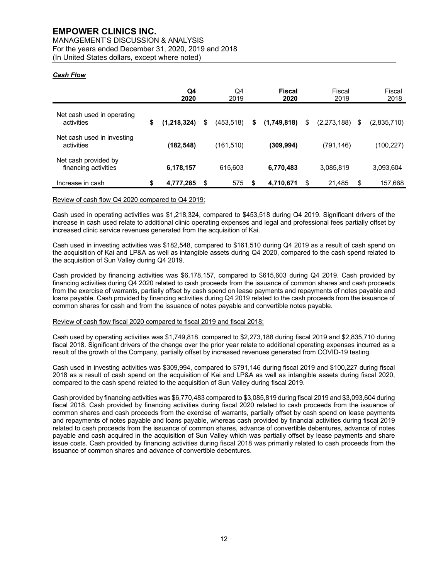MANAGEMENT'S DISCUSSION & ANALYSIS For the years ended December 31, 2020, 2019 and 2018 (In United States dollars, except where noted)

# *Cash Flow*

|                                              | Q4<br>2020          | Q4<br>2019       |    | <b>Fiscal</b><br>2020 | Fiscal<br>2019    |    | Fiscal<br>2018 |
|----------------------------------------------|---------------------|------------------|----|-----------------------|-------------------|----|----------------|
| Net cash used in operating<br>activities     | \$<br>(1, 218, 324) | \$<br>(453, 518) | \$ | (1,749,818)           | \$<br>(2,273,188) | S  | (2,835,710)    |
| Net cash used in investing<br>activities     | (182,548)           | (161, 510)       |    | (309, 994)            | (791, 146)        |    | (100, 227)     |
| Net cash provided by<br>financing activities | 6,178,157           | 615,603          |    | 6,770,483             | 3,085,819         |    | 3,093,604      |
| Increase in cash                             | \$<br>4,777,285     | \$<br>575        | S  | 4,710,671             | \$<br>21,485      | \$ | 157,668        |

## Review of cash flow Q4 2020 compared to Q4 2019:

Cash used in operating activities was \$1,218,324, compared to \$453,518 during Q4 2019. Significant drivers of the increase in cash used relate to additional clinic operating expenses and legal and professional fees partially offset by increased clinic service revenues generated from the acquisition of Kai.

Cash used in investing activities was \$182,548, compared to \$161,510 during Q4 2019 as a result of cash spend on the acquisition of Kai and LP&A as well as intangible assets during Q4 2020, compared to the cash spend related to the acquisition of Sun Valley during Q4 2019.

Cash provided by financing activities was \$6,178,157, compared to \$615,603 during Q4 2019. Cash provided by financing activities during Q4 2020 related to cash proceeds from the issuance of common shares and cash proceeds from the exercise of warrants, partially offset by cash spend on lease payments and repayments of notes payable and loans payable. Cash provided by financing activities during Q4 2019 related to the cash proceeds from the issuance of common shares for cash and from the issuance of notes payable and convertible notes payable.

# Review of cash flow fiscal 2020 compared to fiscal 2019 and fiscal 2018:

Cash used by operating activities was \$1,749,818, compared to \$2,273,188 during fiscal 2019 and \$2,835,710 during fiscal 2018. Significant drivers of the change over the prior year relate to additional operating expenses incurred as a result of the growth of the Company, partially offset by increased revenues generated from COVID-19 testing.

Cash used in investing activities was \$309,994, compared to \$791,146 during fiscal 2019 and \$100,227 during fiscal 2018 as a result of cash spend on the acquisition of Kai and LP&A as well as intangible assets during fiscal 2020, compared to the cash spend related to the acquisition of Sun Valley during fiscal 2019.

Cash provided by financing activities was \$6,770,483 compared to \$3,085,819 during fiscal 2019 and \$3,093,604 during fiscal 2018. Cash provided by financing activities during fiscal 2020 related to cash proceeds from the issuance of common shares and cash proceeds from the exercise of warrants, partially offset by cash spend on lease payments and repayments of notes payable and loans payable, whereas cash provided by financial activities during fiscal 2019 related to cash proceeds from the issuance of common shares, advance of convertible debentures, advance of notes payable and cash acquired in the acquisition of Sun Valley which was partially offset by lease payments and share issue costs. Cash provided by financing activities during fiscal 2018 was primarily related to cash proceeds from the issuance of common shares and advance of convertible debentures.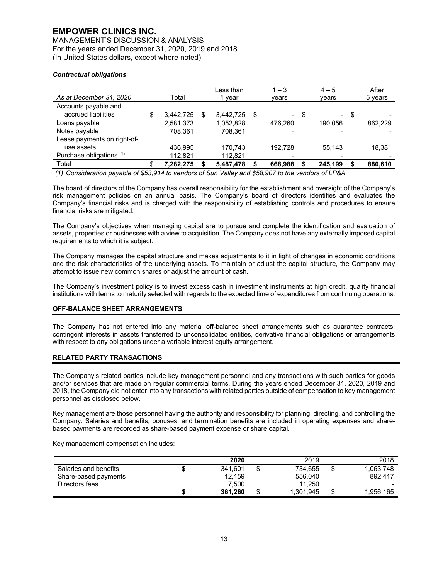MANAGEMENT'S DISCUSSION & ANALYSIS For the years ended December 31, 2020, 2019 and 2018 (In United States dollars, except where noted)

# *Contractual obligations*

| As at December 31, 2020     |   | Total     | Less than<br>1 vear | $1 - 3$<br>vears |      | $4 - 5$<br>vears |      | After<br>5 years |
|-----------------------------|---|-----------|---------------------|------------------|------|------------------|------|------------------|
| Accounts payable and        |   |           |                     |                  |      |                  |      |                  |
| accrued liabilities         | S | 3,442,725 | 3.442.725           | \$               | - \$ | $\sim$           | - \$ |                  |
| Loans payable               |   | 2,581,373 | 1,052,828           | 476.260          |      | 190.056          |      | 862.229          |
| Notes payable               |   | 708.361   | 708.361             |                  |      |                  |      |                  |
| Lease payments on right-of- |   |           |                     |                  |      |                  |      |                  |
| use assets                  |   | 436.995   | 170.743             | 192.728          |      | 55.143           |      | 18.381           |
| Purchase obligations (1)    |   | 112,821   | 112,821             |                  |      |                  |      |                  |
| Total                       |   | 7.282.275 | 5,487,478           | 668,988          |      | 245.199          |      | 880,610          |

*(1) Consideration payable of \$53,914 to vendors of Sun Valley and \$58,907 to the vendors of LP&A*

The board of directors of the Company has overall responsibility for the establishment and oversight of the Company's risk management policies on an annual basis. The Company's board of directors identifies and evaluates the Company's financial risks and is charged with the responsibility of establishing controls and procedures to ensure financial risks are mitigated.

The Company's objectives when managing capital are to pursue and complete the identification and evaluation of assets, properties or businesses with a view to acquisition. The Company does not have any externally imposed capital requirements to which it is subject.

The Company manages the capital structure and makes adjustments to it in light of changes in economic conditions and the risk characteristics of the underlying assets. To maintain or adjust the capital structure, the Company may attempt to issue new common shares or adjust the amount of cash.

The Company's investment policy is to invest excess cash in investment instruments at high credit, quality financial institutions with terms to maturity selected with regards to the expected time of expenditures from continuing operations.

# **OFF-BALANCE SHEET ARRANGEMENTS**

The Company has not entered into any material off-balance sheet arrangements such as guarantee contracts, contingent interests in assets transferred to unconsolidated entities, derivative financial obligations or arrangements with respect to any obligations under a variable interest equity arrangement.

# **RELATED PARTY TRANSACTIONS**

The Company's related parties include key management personnel and any transactions with such parties for goods and/or services that are made on regular commercial terms. During the years ended December 31, 2020, 2019 and 2018, the Company did not enter into any transactions with related parties outside of compensation to key management personnel as disclosed below.

Key management are those personnel having the authority and responsibility for planning, directing, and controlling the Company. Salaries and benefits, bonuses, and termination benefits are included in operating expenses and sharebased payments are recorded as share-based payment expense or share capital.

Key management compensation includes:

|                       | 2020    |    | 2019      | 2018                     |
|-----------------------|---------|----|-----------|--------------------------|
| Salaries and benefits | 341.601 |    | 734.655   | 1.063.748                |
| Share-based payments  | 12,159  |    | 556.040   | 892.417                  |
| Directors fees        | 7.500   |    | 11.250    | $\overline{\phantom{a}}$ |
|                       | 361.260 | ۰D | 1,301,945 | .956.165                 |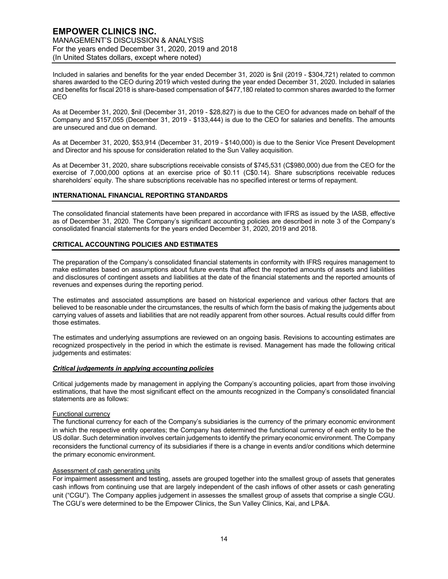Included in salaries and benefits for the year ended December 31, 2020 is \$nil (2019 - \$304,721) related to common shares awarded to the CEO during 2019 which vested during the year ended December 31, 2020. Included in salaries and benefits for fiscal 2018 is share-based compensation of \$477,180 related to common shares awarded to the former CEO

As at December 31, 2020, \$nil (December 31, 2019 - \$28,827) is due to the CEO for advances made on behalf of the Company and \$157,055 (December 31, 2019 - \$133,444) is due to the CEO for salaries and benefits. The amounts are unsecured and due on demand.

As at December 31, 2020, \$53,914 (December 31, 2019 - \$140,000) is due to the Senior Vice Present Development and Director and his spouse for consideration related to the Sun Valley acquisition.

As at December 31, 2020, share subscriptions receivable consists of \$745,531 (C\$980,000) due from the CEO for the exercise of 7,000,000 options at an exercise price of \$0.11 (C\$0.14). Share subscriptions receivable reduces shareholders' equity. The share subscriptions receivable has no specified interest or terms of repayment.

# **INTERNATIONAL FINANCIAL REPORTING STANDARDS**

The consolidated financial statements have been prepared in accordance with IFRS as issued by the IASB, effective as of December 31, 2020. The Company's significant accounting policies are described in note 3 of the Company's consolidated financial statements for the years ended December 31, 2020, 2019 and 2018.

# **CRITICAL ACCOUNTING POLICIES AND ESTIMATES**

The preparation of the Company's consolidated financial statements in conformity with IFRS requires management to make estimates based on assumptions about future events that affect the reported amounts of assets and liabilities and disclosures of contingent assets and liabilities at the date of the financial statements and the reported amounts of revenues and expenses during the reporting period.

The estimates and associated assumptions are based on historical experience and various other factors that are believed to be reasonable under the circumstances, the results of which form the basis of making the judgements about carrying values of assets and liabilities that are not readily apparent from other sources. Actual results could differ from those estimates.

The estimates and underlying assumptions are reviewed on an ongoing basis. Revisions to accounting estimates are recognized prospectively in the period in which the estimate is revised. Management has made the following critical judgements and estimates:

# *Critical judgements in applying accounting policies*

Critical judgements made by management in applying the Company's accounting policies, apart from those involving estimations, that have the most significant effect on the amounts recognized in the Company's consolidated financial statements are as follows:

# Functional currency

The functional currency for each of the Company's subsidiaries is the currency of the primary economic environment in which the respective entity operates; the Company has determined the functional currency of each entity to be the US dollar. Such determination involves certain judgements to identify the primary economic environment. The Company reconsiders the functional currency of its subsidiaries if there is a change in events and/or conditions which determine the primary economic environment.

# Assessment of cash generating units

For impairment assessment and testing, assets are grouped together into the smallest group of assets that generates cash inflows from continuing use that are largely independent of the cash inflows of other assets or cash generating unit ("CGU"). The Company applies judgement in assesses the smallest group of assets that comprise a single CGU. The CGU's were determined to be the Empower Clinics, the Sun Valley Clinics, Kai, and LP&A.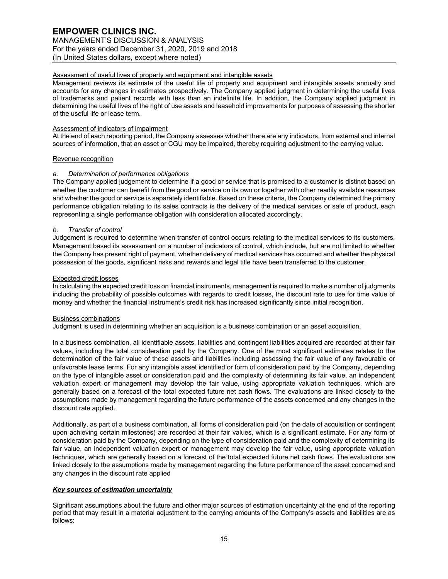# Assessment of useful lives of property and equipment and intangible assets

Management reviews its estimate of the useful life of property and equipment and intangible assets annually and accounts for any changes in estimates prospectively. The Company applied judgment in determining the useful lives of trademarks and patient records with less than an indefinite life. In addition, the Company applied judgment in determining the useful lives of the right of use assets and leasehold improvements for purposes of assessing the shorter of the useful life or lease term.

# Assessment of indicators of impairment

At the end of each reporting period, the Company assesses whether there are any indicators, from external and internal sources of information, that an asset or CGU may be impaired, thereby requiring adjustment to the carrying value.

# Revenue recognition

# *a. Determination of performance obligations*

The Company applied judgement to determine if a good or service that is promised to a customer is distinct based on whether the customer can benefit from the good or service on its own or together with other readily available resources and whether the good or service is separately identifiable. Based on these criteria, the Company determined the primary performance obligation relating to its sales contracts is the delivery of the medical services or sale of product, each representing a single performance obligation with consideration allocated accordingly.

# *b. Transfer of control*

Judgement is required to determine when transfer of control occurs relating to the medical services to its customers. Management based its assessment on a number of indicators of control, which include, but are not limited to whether the Company has present right of payment, whether delivery of medical services has occurred and whether the physical possession of the goods, significant risks and rewards and legal title have been transferred to the customer.

# Expected credit losses

In calculating the expected credit loss on financial instruments, management is required to make a number of judgments including the probability of possible outcomes with regards to credit losses, the discount rate to use for time value of money and whether the financial instrument's credit risk has increased significantly since initial recognition.

# Business combinations

Judgment is used in determining whether an acquisition is a business combination or an asset acquisition.

In a business combination, all identifiable assets, liabilities and contingent liabilities acquired are recorded at their fair values, including the total consideration paid by the Company. One of the most significant estimates relates to the determination of the fair value of these assets and liabilities including assessing the fair value of any favourable or unfavorable lease terms. For any intangible asset identified or form of consideration paid by the Company, depending on the type of intangible asset or consideration paid and the complexity of determining its fair value, an independent valuation expert or management may develop the fair value, using appropriate valuation techniques, which are generally based on a forecast of the total expected future net cash flows. The evaluations are linked closely to the assumptions made by management regarding the future performance of the assets concerned and any changes in the discount rate applied.

Additionally, as part of a business combination, all forms of consideration paid (on the date of acquisition or contingent upon achieving certain milestones) are recorded at their fair values, which is a significant estimate. For any form of consideration paid by the Company, depending on the type of consideration paid and the complexity of determining its fair value, an independent valuation expert or management may develop the fair value, using appropriate valuation techniques, which are generally based on a forecast of the total expected future net cash flows. The evaluations are linked closely to the assumptions made by management regarding the future performance of the asset concerned and any changes in the discount rate applied

# *Key sources of estimation uncertainty*

Significant assumptions about the future and other major sources of estimation uncertainty at the end of the reporting period that may result in a material adjustment to the carrying amounts of the Company's assets and liabilities are as follows: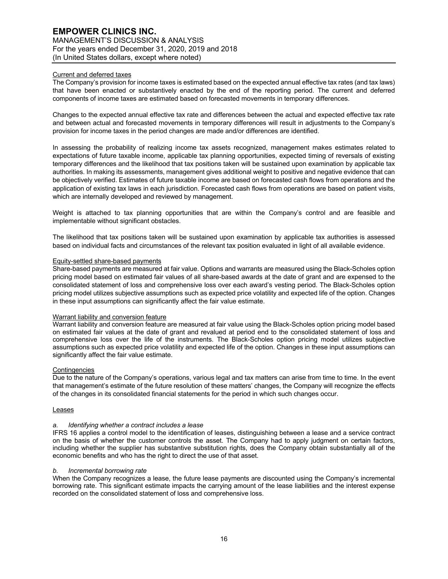# Current and deferred taxes

The Company's provision for income taxes is estimated based on the expected annual effective tax rates (and tax laws) that have been enacted or substantively enacted by the end of the reporting period. The current and deferred components of income taxes are estimated based on forecasted movements in temporary differences.

Changes to the expected annual effective tax rate and differences between the actual and expected effective tax rate and between actual and forecasted movements in temporary differences will result in adjustments to the Company's provision for income taxes in the period changes are made and/or differences are identified.

In assessing the probability of realizing income tax assets recognized, management makes estimates related to expectations of future taxable income, applicable tax planning opportunities, expected timing of reversals of existing temporary differences and the likelihood that tax positions taken will be sustained upon examination by applicable tax authorities. In making its assessments, management gives additional weight to positive and negative evidence that can be objectively verified. Estimates of future taxable income are based on forecasted cash flows from operations and the application of existing tax laws in each jurisdiction. Forecasted cash flows from operations are based on patient visits, which are internally developed and reviewed by management.

Weight is attached to tax planning opportunities that are within the Company's control and are feasible and implementable without significant obstacles.

The likelihood that tax positions taken will be sustained upon examination by applicable tax authorities is assessed based on individual facts and circumstances of the relevant tax position evaluated in light of all available evidence.

# Equity-settled share-based payments

Share-based payments are measured at fair value. Options and warrants are measured using the Black-Scholes option pricing model based on estimated fair values of all share-based awards at the date of grant and are expensed to the consolidated statement of loss and comprehensive loss over each award's vesting period. The Black-Scholes option pricing model utilizes subjective assumptions such as expected price volatility and expected life of the option. Changes in these input assumptions can significantly affect the fair value estimate.

## Warrant liability and conversion feature

Warrant liability and conversion feature are measured at fair value using the Black-Scholes option pricing model based on estimated fair values at the date of grant and revalued at period end to the consolidated statement of loss and comprehensive loss over the life of the instruments. The Black-Scholes option pricing model utilizes subjective assumptions such as expected price volatility and expected life of the option. Changes in these input assumptions can significantly affect the fair value estimate.

# **Contingencies**

Due to the nature of the Company's operations, various legal and tax matters can arise from time to time. In the event that management's estimate of the future resolution of these matters' changes, the Company will recognize the effects of the changes in its consolidated financial statements for the period in which such changes occur.

## Leases

# *a. Identifying whether a contract includes a lease*

IFRS 16 applies a control model to the identification of leases, distinguishing between a lease and a service contract on the basis of whether the customer controls the asset. The Company had to apply judgment on certain factors, including whether the supplier has substantive substitution rights, does the Company obtain substantially all of the economic benefits and who has the right to direct the use of that asset.

### *b. Incremental borrowing rate*

When the Company recognizes a lease, the future lease payments are discounted using the Company's incremental borrowing rate. This significant estimate impacts the carrying amount of the lease liabilities and the interest expense recorded on the consolidated statement of loss and comprehensive loss.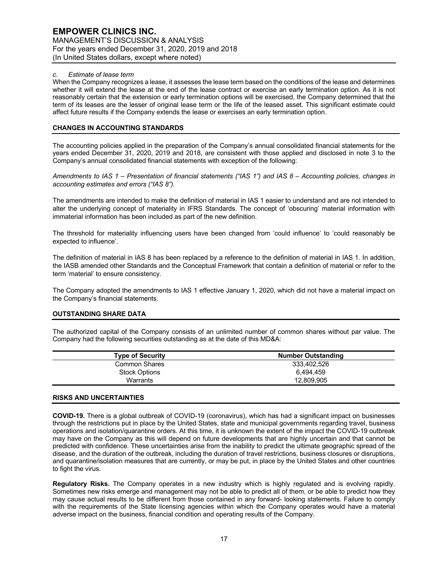## *c. Estimate of lease term*

When the Company recognizes a lease, it assesses the lease term based on the conditions of the lease and determines whether it will extend the lease at the end of the lease contract or exercise an early termination option. As it is not reasonably certain that the extension or early termination options will be exercised, the Company determined that the term of its leases are the lesser of original lease term or the life of the leased asset. This significant estimate could affect future results if the Company extends the lease or exercises an early termination option.

# **CHANGES IN ACCOUNTING STANDARDS**

The accounting policies applied in the preparation of the Company's annual consolidated financial statements for the years ended December 31, 2020, 2019 and 2018, are consistent with those applied and disclosed in note 3 to the Company's annual consolidated financial statements with exception of the following:

*Amendments to IAS 1 – Presentation of financial statements ("IAS 1") and IAS 8 – Accounting policies, changes in accounting estimates and errors ("IAS 8").*

The amendments are intended to make the definition of material in IAS 1 easier to understand and are not intended to alter the underlying concept of materiality in IFRS Standards. The concept of 'obscuring' material information with immaterial information has been included as part of the new definition.

The threshold for materiality influencing users have been changed from 'could influence' to 'could reasonably be expected to influence'.

The definition of material in IAS 8 has been replaced by a reference to the definition of material in IAS 1. In addition, the IASB amended other Standards and the Conceptual Framework that contain a definition of material or refer to the term 'material' to ensure consistency.

The Company adopted the amendments to IAS 1 effective January 1, 2020, which did not have a material impact on the Company's financial statements.

# **OUTSTANDING SHARE DATA**

The authorized capital of the Company consists of an unlimited number of common shares without par value. The Company had the following securities outstanding as at the date of this MD&A:

| <b>Number Outstanding</b> |
|---------------------------|
| 333.402.526               |
| 6.494.459                 |
| 12.809.905                |
|                           |

## **RISKS AND UNCERTAINTIES**

**COVID-19.** There is a global outbreak of COVID-19 (coronavirus), which has had a significant impact on businesses through the restrictions put in place by the United States, state and municipal governments regarding travel, business operations and isolation/quarantine orders. At this time, it is unknown the extent of the impact the COVID-19 outbreak may have on the Company as this will depend on future developments that are highly uncertain and that cannot be predicted with confidence. These uncertainties arise from the inability to predict the ultimate geographic spread of the disease, and the duration of the outbreak, including the duration of travel restrictions, business closures or disruptions, and quarantine/isolation measures that are currently, or may be put, in place by the United States and other countries to fight the virus.

**Regulatory Risks.** The Company operates in a new industry which is highly regulated and is evolving rapidly. Sometimes new risks emerge and management may not be able to predict all of them, or be able to predict how they may cause actual results to be different from those contained in any forward- looking statements. Failure to comply with the requirements of the State licensing agencies within which the Company operates would have a material adverse impact on the business, financial condition and operating results of the Company.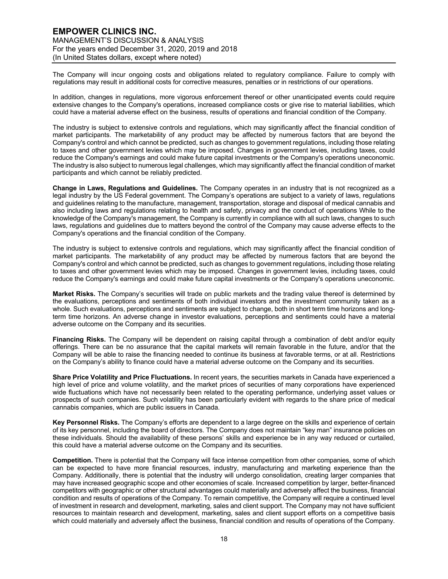The Company will incur ongoing costs and obligations related to regulatory compliance. Failure to comply with regulations may result in additional costs for corrective measures, penalties or in restrictions of our operations.

In addition, changes in regulations, more vigorous enforcement thereof or other unanticipated events could require extensive changes to the Company's operations, increased compliance costs or give rise to material liabilities, which could have a material adverse effect on the business, results of operations and financial condition of the Company.

The industry is subject to extensive controls and regulations, which may significantly affect the financial condition of market participants. The marketability of any product may be affected by numerous factors that are beyond the Company's control and which cannot be predicted, such as changes to government regulations, including those relating to taxes and other government levies which may be imposed. Changes in government levies, including taxes, could reduce the Company's earnings and could make future capital investments or the Company's operations uneconomic. The industry is also subject to numerous legal challenges, which may significantly affect the financial condition of market participants and which cannot be reliably predicted.

**Change in Laws, Regulations and Guidelines.** The Company operates in an industry that is not recognized as a legal industry by the US Federal government. The Company's operations are subject to a variety of laws, regulations and guidelines relating to the manufacture, management, transportation, storage and disposal of medical cannabis and also including laws and regulations relating to health and safety, privacy and the conduct of operations While to the knowledge of the Company's management, the Company is currently in compliance with all such laws, changes to such laws, regulations and guidelines due to matters beyond the control of the Company may cause adverse effects to the Company's operations and the financial condition of the Company.

The industry is subject to extensive controls and regulations, which may significantly affect the financial condition of market participants. The marketability of any product may be affected by numerous factors that are beyond the Company's control and which cannot be predicted, such as changes to government regulations, including those relating to taxes and other government levies which may be imposed. Changes in government levies, including taxes, could reduce the Company's earnings and could make future capital investments or the Company's operations uneconomic.

**Market Risks.** The Company's securities will trade on public markets and the trading value thereof is determined by the evaluations, perceptions and sentiments of both individual investors and the investment community taken as a whole. Such evaluations, perceptions and sentiments are subject to change, both in short term time horizons and longterm time horizons. An adverse change in investor evaluations, perceptions and sentiments could have a material adverse outcome on the Company and its securities.

**Financing Risks.** The Company will be dependent on raising capital through a combination of debt and/or equity offerings. There can be no assurance that the capital markets will remain favorable in the future, and/or that the Company will be able to raise the financing needed to continue its business at favorable terms, or at all. Restrictions on the Company's ability to finance could have a material adverse outcome on the Company and its securities.

**Share Price Volatility and Price Fluctuations.** In recent years, the securities markets in Canada have experienced a high level of price and volume volatility, and the market prices of securities of many corporations have experienced wide fluctuations which have not necessarily been related to the operating performance, underlying asset values or prospects of such companies. Such volatility has been particularly evident with regards to the share price of medical cannabis companies, which are public issuers in Canada.

**Key Personnel Risks.** The Company's efforts are dependent to a large degree on the skills and experience of certain of its key personnel, including the board of directors. The Company does not maintain "key man" insurance policies on these individuals. Should the availability of these persons' skills and experience be in any way reduced or curtailed, this could have a material adverse outcome on the Company and its securities.

**Competition.** There is potential that the Company will face intense competition from other companies, some of which can be expected to have more financial resources, industry, manufacturing and marketing experience than the Company. Additionally, there is potential that the industry will undergo consolidation, creating larger companies that may have increased geographic scope and other economies of scale. Increased competition by larger, better-financed competitors with geographic or other structural advantages could materially and adversely affect the business, financial condition and results of operations of the Company. To remain competitive, the Company will require a continued level of investment in research and development, marketing, sales and client support. The Company may not have sufficient resources to maintain research and development, marketing, sales and client support efforts on a competitive basis which could materially and adversely affect the business, financial condition and results of operations of the Company.